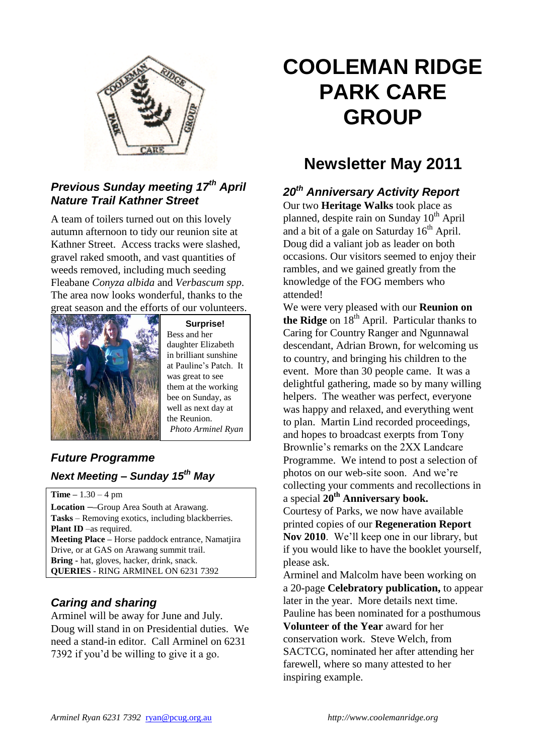

## *Previous Sunday meeting 17th April Nature Trail Kathner Street*

A team of toilers turned out on this lovely autumn afternoon to tidy our reunion site at Kathner Street. Access tracks were slashed, gravel raked smooth, and vast quantities of weeds removed, including much seeding Fleabane *Conyza albida* and *Verbascum spp*. The area now looks wonderful, thanks to the great season and the efforts of our volunteers.



**Surprise!** Bess and her daughter Elizabeth in brilliant sunshine at Pauline's Patch. It was great to see them at the working bee on Sunday, as well as next day at the Reunion. *Photo Arminel Ryan*

## *Future Programme Next Meeting – Sunday 15 th May*

**Time –** 1.30 – 4 pm **Location ––**Group Area South at Arawang. **Tasks** – Removing exotics, including blackberries. **Plant ID** –as required. **Meeting Place –** Horse paddock entrance, Namatjira Drive, or at GAS on Arawang summit trail. **Bring -** hat, gloves, hacker, drink, snack. **QUERIES** - RING ARMINEL ON 6231 7392

## *Caring and sharing*

Arminel will be away for June and July. Doug will stand in on Presidential duties. We need a stand-in editor. Call Arminel on 6231 7392 if you'd be willing to give it a go.

# **COOLEMAN RIDGE PARK CARE GROUP**

## **Newsletter May 2011**

## *20th Anniversary Activity Report*

Our two **Heritage Walks** took place as planned, despite rain on Sunday  $10^{th}$  April and a bit of a gale on Saturday  $16<sup>th</sup>$  April. Doug did a valiant job as leader on both occasions. Our visitors seemed to enjoy their rambles, and we gained greatly from the knowledge of the FOG members who attended!

We were very pleased with our **Reunion on the Ridge** on 18<sup>th</sup> April. Particular thanks to Caring for Country Ranger and Ngunnawal descendant, Adrian Brown, for welcoming us to country, and bringing his children to the event. More than 30 people came. It was a delightful gathering, made so by many willing helpers. The weather was perfect, everyone was happy and relaxed, and everything went to plan. Martin Lind recorded proceedings, and hopes to broadcast exerpts from Tony Brownlie's remarks on the 2XX Landcare Programme. We intend to post a selection of photos on our web-site soon. And we're collecting your comments and recollections in a special **20th Anniversary book.**

Courtesy of Parks, we now have available printed copies of our **Regeneration Report Nov 2010**. We'll keep one in our library, but if you would like to have the booklet yourself, please ask.

Arminel and Malcolm have been working on a 20-page **Celebratory publication,** to appear later in the year. More details next time. Pauline has been nominated for a posthumous **Volunteer of the Year** award for her conservation work. Steve Welch, from SACTCG, nominated her after attending her farewell, where so many attested to her inspiring example.